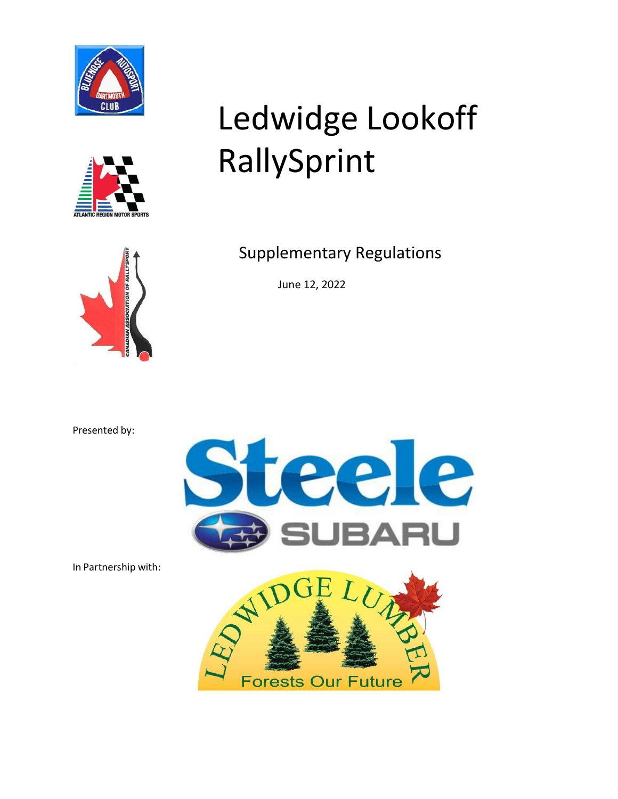



# Ledwidge Lookoff RallySprint



Supplementary Regulations

June 12, 2022

Presented by:



In Partnership with:

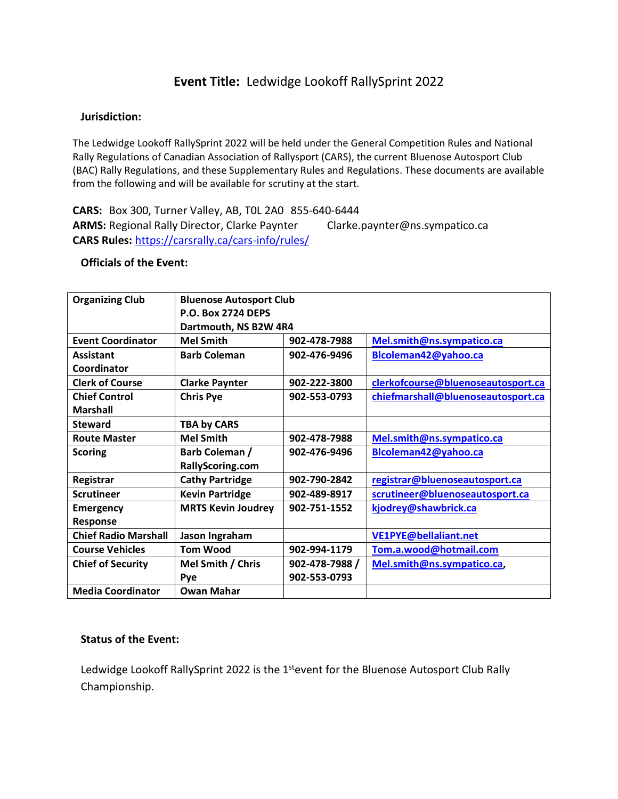# **Event Title:** Ledwidge Lookoff RallySprint 2022

## **Jurisdiction:**

The Ledwidge Lookoff RallySprint 2022 will be held under the General Competition Rules and National Rally Regulations of Canadian Association of Rallysport (CARS), the current Bluenose Autosport Club (BAC) Rally Regulations, and these Supplementary Rules and Regulations. These documents are available from the following and will be available for scrutiny at the start.

**CARS:** Box 300, Turner Valley, AB, T0L 2A0 855-640-6444 **ARMS:** Regional Rally Director, Clarke Paynter Clarke.paynter@ns.sympatico.ca **CARS Rules:** <https://carsrally.ca/cars-info/rules/>

# **Officials of the Event:**

| <b>Organizing Club</b>      | <b>Bluenose Autosport Club</b> |                |                                    |
|-----------------------------|--------------------------------|----------------|------------------------------------|
|                             | <b>P.O. Box 2724 DEPS</b>      |                |                                    |
|                             | Dartmouth, NS B2W 4R4          |                |                                    |
| <b>Event Coordinator</b>    | <b>Mel Smith</b>               | 902-478-7988   | Mel.smith@ns.sympatico.ca          |
| <b>Assistant</b>            | <b>Barb Coleman</b>            | 902-476-9496   | Blcoleman42@yahoo.ca               |
| Coordinator                 |                                |                |                                    |
| <b>Clerk of Course</b>      | <b>Clarke Paynter</b>          | 902-222-3800   | clerkofcourse@bluenoseautosport.ca |
| <b>Chief Control</b>        | <b>Chris Pye</b>               | 902-553-0793   | chiefmarshall@bluenoseautosport.ca |
| <b>Marshall</b>             |                                |                |                                    |
| <b>Steward</b>              | <b>TBA by CARS</b>             |                |                                    |
| <b>Route Master</b>         | <b>Mel Smith</b>               | 902-478-7988   | Mel.smith@ns.sympatico.ca          |
| <b>Scoring</b>              | Barb Coleman /                 | 902-476-9496   | Blcoleman42@yahoo.ca               |
|                             | RallyScoring.com               |                |                                    |
| Registrar                   | <b>Cathy Partridge</b>         | 902-790-2842   | registrar@bluenoseautosport.ca     |
| <b>Scrutineer</b>           | <b>Kevin Partridge</b>         | 902-489-8917   | scrutineer@bluenoseautosport.ca    |
| <b>Emergency</b>            | <b>MRTS Kevin Joudrey</b>      | 902-751-1552   | kjodrey@shawbrick.ca               |
| Response                    |                                |                |                                    |
| <b>Chief Radio Marshall</b> | Jason Ingraham                 |                | VE1PYE@bellaliant.net              |
| <b>Course Vehicles</b>      | <b>Tom Wood</b>                | 902-994-1179   | Tom.a.wood@hotmail.com             |
| <b>Chief of Security</b>    | Mel Smith / Chris              | 902-478-7988 / | Mel.smith@ns.sympatico.ca,         |
|                             | <b>Pye</b>                     | 902-553-0793   |                                    |
| <b>Media Coordinator</b>    | <b>Owan Mahar</b>              |                |                                    |

#### **Status of the Event:**

Ledwidge Lookoff RallySprint 2022 is the  $1<sup>st</sup>$ event for the Bluenose Autosport Club Rally Championship.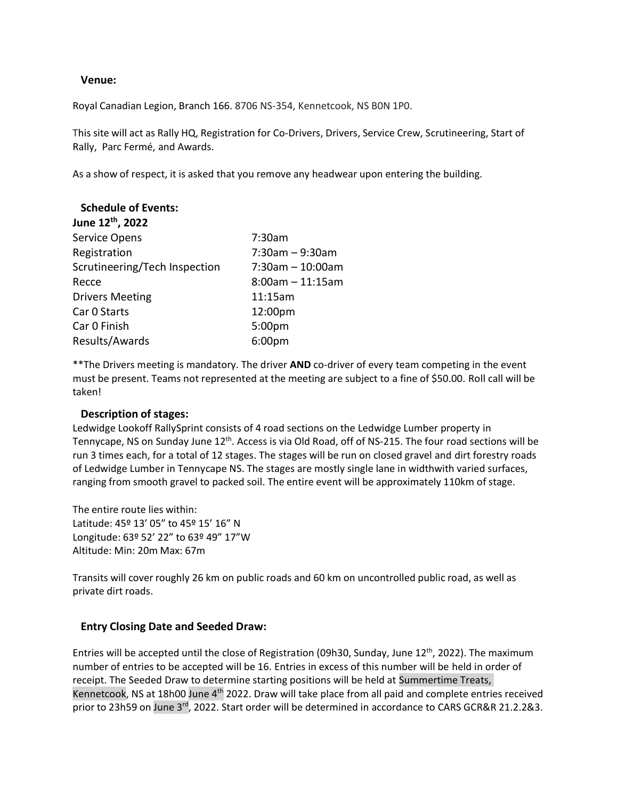#### **Venue:**

Royal Canadian Legion, Branch 166. 8706 NS‐354, Kennetcook, NS B0N 1P0.

This site will act as Rally HQ, Registration for Co‐Drivers, Drivers, Service Crew, Scrutineering, Start of Rally, Parc Fermé, and Awards.

As a show of respect, it is asked that you remove any headwear upon entering the building.

| <b>Schedule of Events:</b>    |                       |
|-------------------------------|-----------------------|
| June 12 <sup>th</sup> , 2022  |                       |
| <b>Service Opens</b>          | 7:30am                |
| Registration                  | $7:30$ am - 9:30am    |
| Scrutineering/Tech Inspection | $7:30$ am $-10:00$ am |
| Recce                         | $8:00$ am $-11:15$ am |
| <b>Drivers Meeting</b>        | 11:15am               |
| Car 0 Starts                  | 12:00pm               |
| Car 0 Finish                  | $5:00p$ m             |
| Results/Awards                | 6:00pm                |

\*\* The Drivers meeting is mandatory. The driver AND co-driver of every team competing in the event must be present. Teams not represented at the meeting are subject to a fine of \$50.00. Roll call will be taken!

#### **Description of stages:**

Ledwidge Lookoff RallySprint consists of 4 road sections on the Ledwidge Lumber property in Tennycape, NS on Sunday June 12<sup>th</sup>. Access is via Old Road, off of NS-215. The four road sections will be run 3 times each, for a total of 12 stages. The stages will be run on closed gravel and dirt forestry roads of Ledwidge Lumber in Tennycape NS. The stages are mostly single lane in widthwith varied surfaces, ranging from smooth gravel to packed soil. The entire event will be approximately 110km of stage.

The entire route lies within: Latitude: 45º 13' 05" to 45º 15' 16" N Longitude: 63º 52' 22" to 63º 49" 17"W Altitude: Min: 20m Max: 67m

Transits will cover roughly 26 km on public roads and 60 km on uncontrolled public road, as well as private dirt roads.

# **Entry Closing Date and Seeded Draw:**

Entries will be accepted until the close of Registration (09h30, Sunday, June 12<sup>th</sup>, 2022). The maximum number of entries to be accepted will be 16. Entries in excess of this number will be held in order of receipt. The Seeded Draw to determine starting positions will be held at Summertime Treats, Kennetcook, NS at 18h00 June 4<sup>th</sup> 2022. Draw will take place from all paid and complete entries received prior to 23h59 on June 3<sup>rd</sup>, 2022. Start order will be determined in accordance to CARS GCR&R 21.2.2&3.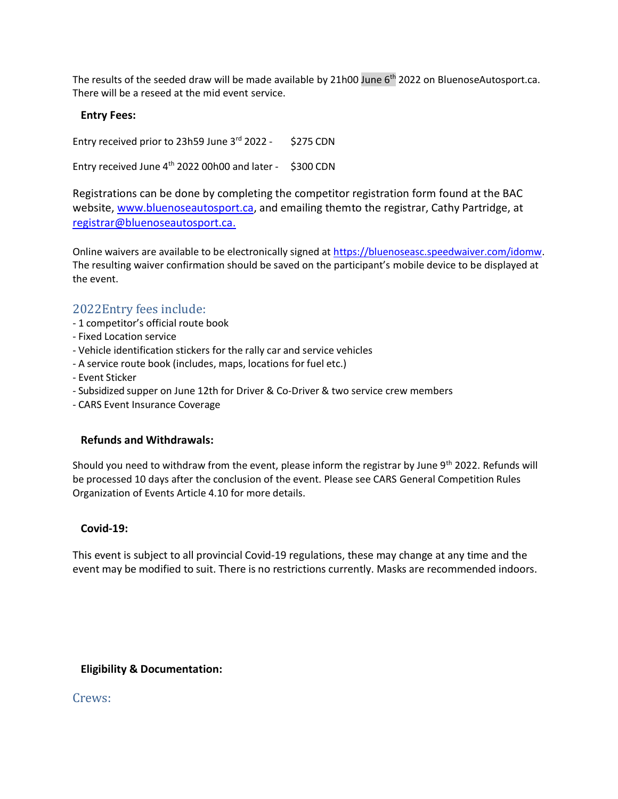The results of the seeded draw will be made available by 21h00 June 6<sup>th</sup> 2022 on BluenoseAutosport.ca. There will be a reseed at the mid event service.

## **Entry Fees:**

Entry received prior to 23h59 June 3<sup>rd</sup> 2022 - \$275 CDN

Entry received June 4<sup>th</sup> 2022 00h00 and later - \$300 CDN

Registrations can be done by completing the competitor registration form found at the BAC website, [www.bluenoseautosport.ca,](http://www.bluenoseautosport.ca/) and emailing themto the registrar, Cathy Partridge, at [registrar@bluenoseautosport.ca.](mailto:registrar@bluenoseautosport.ca)

Online waivers are available to be electronically signed at [https://bluenoseasc.speedwaiver.com/idomw.](https://bluenoseasc.speedwaiver.com/idomw) The resulting waiver confirmation should be saved on the participant's mobile device to be displayed at the event.

# 2022Entry fees include:

- ‐ 1 competitor's official route book
- ‐ Fixed Location service
- ‐ Vehicle identification stickers for the rally car and service vehicles
- ‐ A service route book (includes, maps, locations for fuel etc.)
- ‐ Event Sticker
- ‐ Subsidized supper on June 12th for Driver & Co‐Driver & two service crew members
- ‐ CARS Event Insurance Coverage

# **Refunds and Withdrawals:**

Should you need to withdraw from the event, please inform the registrar by June 9<sup>th</sup> 2022. Refunds will be processed 10 days after the conclusion of the event. Please see CARS General Competition Rules Organization of Events Article 4.10 for more details.

#### **Covid‐19:**

This event is subject to all provincial Covid‐19 regulations, these may change at any time and the event may be modified to suit. There is no restrictions currently. Masks are recommended indoors.

# **Eligibility & Documentation:**

Crews: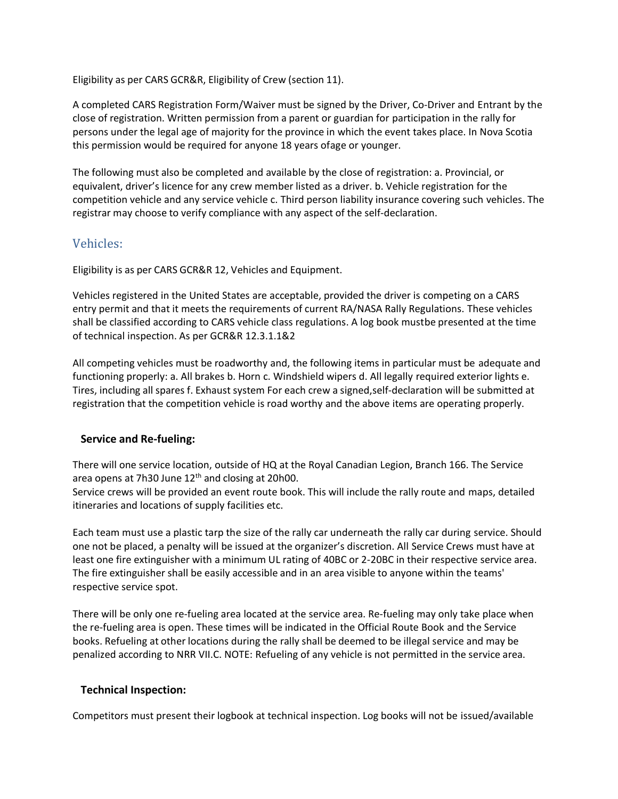Eligibility as per CARS GCR&R, Eligibility of Crew (section 11).

A completed CARS Registration Form/Waiver must be signed by the Driver, Co‐Driver and Entrant by the close of registration. Written permission from a parent or guardian for participation in the rally for persons under the legal age of majority for the province in which the event takes place. In Nova Scotia this permission would be required for anyone 18 years ofage or younger.

The following must also be completed and available by the close of registration: a. Provincial, or equivalent, driver's licence for any crew member listed as a driver. b. Vehicle registration for the competition vehicle and any service vehicle c. Third person liability insurance covering such vehicles. The registrar may choose to verify compliance with any aspect of the self‐declaration.

# Vehicles:

Eligibility is as per CARS GCR&R 12, Vehicles and Equipment.

Vehicles registered in the United States are acceptable, provided the driver is competing on a CARS entry permit and that it meets the requirements of current RA/NASA Rally Regulations. These vehicles shall be classified according to CARS vehicle class regulations. A log book mustbe presented at the time of technical inspection. As per GCR&R 12.3.1.1&2

All competing vehicles must be roadworthy and, the following items in particular must be adequate and functioning properly: a. All brakes b. Horn c. Windshield wipers d. All legally required exterior lights e. Tires, including all spares f. Exhaust system For each crew a signed,self‐declaration will be submitted at registration that the competition vehicle is road worthy and the above items are operating properly.

# **Service and Re‐fueling:**

There will one service location, outside of HQ at the Royal Canadian Legion, Branch 166. The Service area opens at 7h30 June 12<sup>th</sup> and closing at 20h00.

Service crews will be provided an event route book. This will include the rally route and maps, detailed itineraries and locations of supply facilities etc.

Each team must use a plastic tarp the size of the rally car underneath the rally car during service. Should one not be placed, a penalty will be issued at the organizer's discretion. All Service Crews must have at least one fire extinguisher with a minimum UL rating of 40BC or 2‐20BC in their respective service area. The fire extinguisher shall be easily accessible and in an area visible to anyone within the teams' respective service spot.

There will be only one re-fueling area located at the service area. Re-fueling may only take place when the re‐fueling area is open. These times will be indicated in the Official Route Book and the Service books. Refueling at other locations during the rally shall be deemed to be illegal service and may be penalized according to NRR VII.C. NOTE: Refueling of any vehicle is not permitted in the service area.

# **Technical Inspection:**

Competitors must present their logbook at technical inspection. Log books will not be issued/available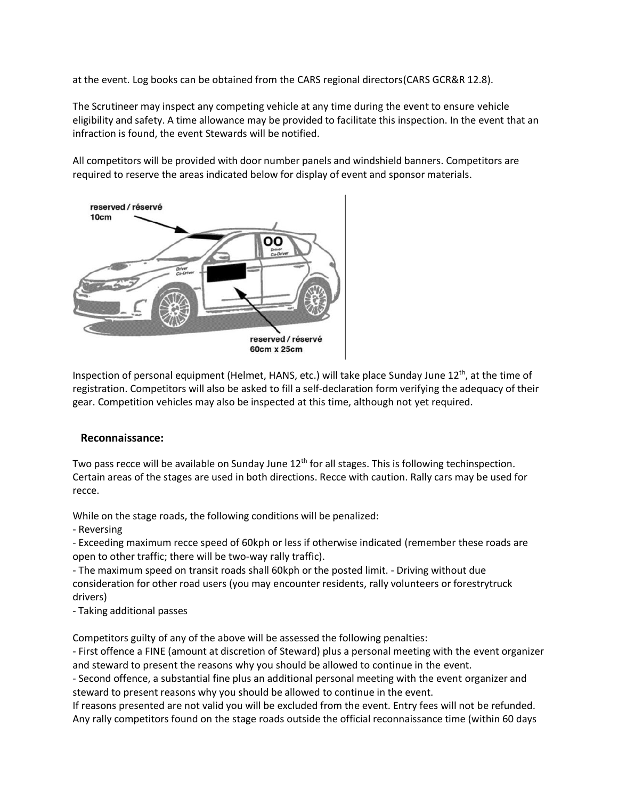at the event. Log books can be obtained from the CARS regional directors(CARS GCR&R 12.8).

The Scrutineer may inspect any competing vehicle at any time during the event to ensure vehicle eligibility and safety. A time allowance may be provided to facilitate this inspection. In the event that an infraction is found, the event Stewards will be notified.

All competitors will be provided with door number panels and windshield banners. Competitors are required to reserve the areas indicated below for display of event and sponsor materials.



Inspection of personal equipment (Helmet, HANS, etc.) will take place Sunday June 12<sup>th</sup>, at the time of registration. Competitors will also be asked to fill a self‐declaration form verifying the adequacy of their gear. Competition vehicles may also be inspected at this time, although not yet required.

#### **Reconnaissance:**

Two pass recce will be available on Sunday June  $12^{\text{th}}$  for all stages. This is following techinspection. Certain areas of the stages are used in both directions. Recce with caution. Rally cars may be used for recce.

While on the stage roads, the following conditions will be penalized:

‐ Reversing

‐ Exceeding maximum recce speed of 60kph or less if otherwise indicated (remember these roads are open to other traffic; there will be two-way rally traffic).

‐ The maximum speed on transit roads shall 60kph or the posted limit. ‐ Driving without due consideration for other road users (you may encounter residents, rally volunteers or forestrytruck drivers)

‐ Taking additional passes

Competitors guilty of any of the above will be assessed the following penalties:

‐ First offence a FINE (amount at discretion of Steward) plus a personal meeting with the event organizer and steward to present the reasons why you should be allowed to continue in the event.

‐ Second offence, a substantial fine plus an additional personal meeting with the event organizer and steward to present reasons why you should be allowed to continue in the event.

If reasons presented are not valid you will be excluded from the event. Entry fees will not be refunded. Any rally competitors found on the stage roads outside the official reconnaissance time (within 60 days